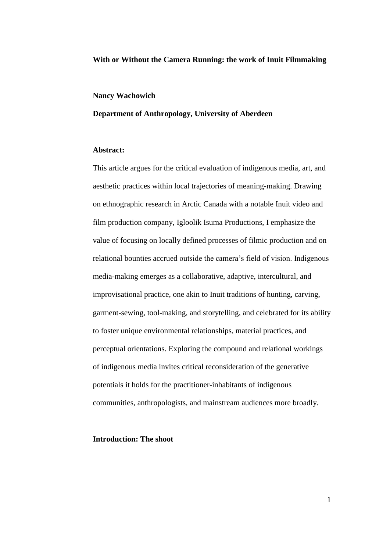### **With or Without the Camera Running: the work of Inuit Filmmaking**

#### **Nancy Wachowich**

# **Department of Anthropology, University of Aberdeen**

# **Abstract:**

This article argues for the critical evaluation of indigenous media, art, and aesthetic practices within local trajectories of meaning-making. Drawing on ethnographic research in Arctic Canada with a notable Inuit video and film production company, Igloolik Isuma Productions, I emphasize the value of focusing on locally defined processes of filmic production and on relational bounties accrued outside the camera's field of vision. Indigenous media-making emerges as a collaborative, adaptive, intercultural, and improvisational practice, one akin to Inuit traditions of hunting, carving, garment-sewing, tool-making, and storytelling, and celebrated for its ability to foster unique environmental relationships, material practices, and perceptual orientations. Exploring the compound and relational workings of indigenous media invites critical reconsideration of the generative potentials it holds for the practitioner-inhabitants of indigenous communities, anthropologists, and mainstream audiences more broadly.

### **Introduction: The shoot**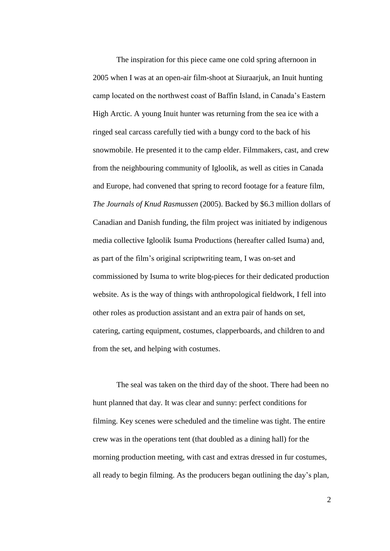The inspiration for this piece came one cold spring afternoon in 2005 when I was at an open-air film-shoot at Siuraarjuk, an Inuit hunting camp located on the northwest coast of Baffin Island, in Canada's Eastern High Arctic. A young Inuit hunter was returning from the sea ice with a ringed seal carcass carefully tied with a bungy cord to the back of his snowmobile. He presented it to the camp elder. Filmmakers, cast, and crew from the neighbouring community of Igloolik, as well as cities in Canada and Europe, had convened that spring to record footage for a feature film, *The Journals of Knud Rasmussen* (2005). Backed by \$6.3 million dollars of Canadian and Danish funding, the film project was initiated by indigenous media collective Igloolik Isuma Productions (hereafter called Isuma) and, as part of the film's original scriptwriting team, I was on-set and commissioned by Isuma to write blog-pieces for their dedicated production website. As is the way of things with anthropological fieldwork, I fell into other roles as production assistant and an extra pair of hands on set, catering, carting equipment, costumes, clapperboards, and children to and from the set, and helping with costumes.

The seal was taken on the third day of the shoot. There had been no hunt planned that day. It was clear and sunny: perfect conditions for filming. Key scenes were scheduled and the timeline was tight. The entire crew was in the operations tent (that doubled as a dining hall) for the morning production meeting, with cast and extras dressed in fur costumes, all ready to begin filming. As the producers began outlining the day's plan,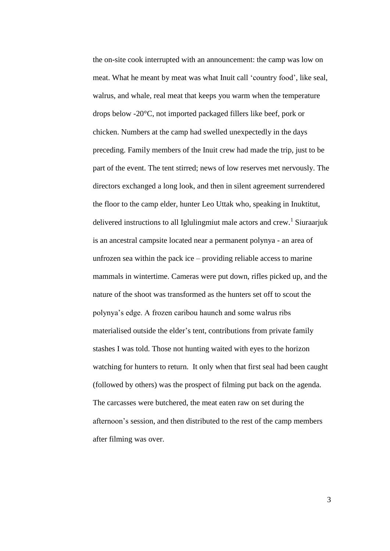the on-site cook interrupted with an announcement: the camp was low on meat. What he meant by meat was what Inuit call 'country food', like seal, walrus, and whale, real meat that keeps you warm when the temperature drops below -20°C, not imported packaged fillers like beef, pork or chicken. Numbers at the camp had swelled unexpectedly in the days preceding. Family members of the Inuit crew had made the trip, just to be part of the event. The tent stirred; news of low reserves met nervously. The directors exchanged a long look, and then in silent agreement surrendered the floor to the camp elder, hunter Leo Uttak who, speaking in Inuktitut, delivered instructions to all Iglulingmiut male actors and crew.<sup>1</sup> Siuraarjuk is an ancestral campsite located near a permanent polynya - an area of unfrozen sea within the pack ice – providing reliable access to marine mammals in wintertime. Cameras were put down, rifles picked up, and the nature of the shoot was transformed as the hunters set off to scout the polynya's edge. A frozen caribou haunch and some walrus ribs materialised outside the elder's tent, contributions from private family stashes I was told. Those not hunting waited with eyes to the horizon watching for hunters to return. It only when that first seal had been caught (followed by others) was the prospect of filming put back on the agenda. The carcasses were butchered, the meat eaten raw on set during the afternoon's session, and then distributed to the rest of the camp members after filming was over.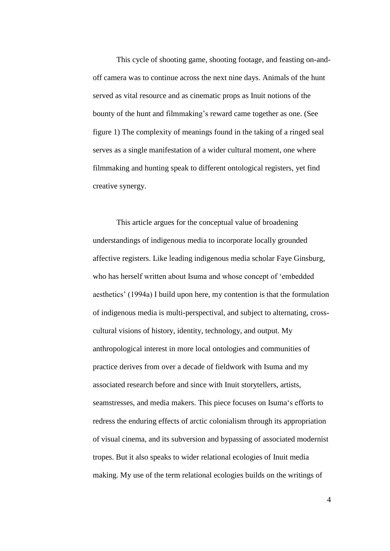This cycle of shooting game, shooting footage, and feasting on-andoff camera was to continue across the next nine days. Animals of the hunt served as vital resource and as cinematic props as Inuit notions of the bounty of the hunt and filmmaking's reward came together as one. (See figure 1) The complexity of meanings found in the taking of a ringed seal serves as a single manifestation of a wider cultural moment, one where filmmaking and hunting speak to different ontological registers, yet find creative synergy.

This article argues for the conceptual value of broadening understandings of indigenous media to incorporate locally grounded affective registers. Like leading indigenous media scholar Faye Ginsburg, who has herself written about Isuma and whose concept of 'embedded aesthetics' (1994a) I build upon here, my contention is that the formulation of indigenous media is multi-perspectival, and subject to alternating, crosscultural visions of history, identity, technology, and output. My anthropological interest in more local ontologies and communities of practice derives from over a decade of fieldwork with Isuma and my associated research before and since with Inuit storytellers, artists, seamstresses, and media makers. This piece focuses on Isuma's efforts to redress the enduring effects of arctic colonialism through its appropriation of visual cinema, and its subversion and bypassing of associated modernist tropes. But it also speaks to wider relational ecologies of Inuit media making. My use of the term relational ecologies builds on the writings of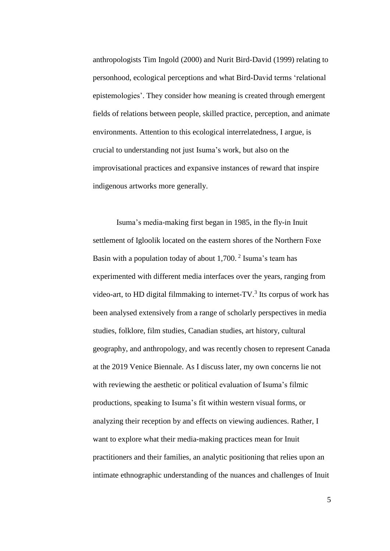anthropologists Tim Ingold (2000) and Nurit Bird-David (1999) relating to personhood, ecological perceptions and what Bird-David terms 'relational epistemologies'. They consider how meaning is created through emergent fields of relations between people, skilled practice, perception, and animate environments. Attention to this ecological interrelatedness, I argue, is crucial to understanding not just Isuma's work, but also on the improvisational practices and expansive instances of reward that inspire indigenous artworks more generally.

Isuma's media-making first began in 1985, in the fly-in Inuit settlement of Igloolik located on the eastern shores of the Northern Foxe Basin with a population today of about  $1,700$ .<sup>2</sup> Isuma's team has experimented with different media interfaces over the years, ranging from video-art, to HD digital filmmaking to internet-TV $<sup>3</sup>$  Its corpus of work has</sup> been analysed extensively from a range of scholarly perspectives in media studies, folklore, film studies, Canadian studies, art history, cultural geography, and anthropology, and was recently chosen to represent Canada at the 2019 Venice Biennale. As I discuss later, my own concerns lie not with reviewing the aesthetic or political evaluation of Isuma's filmic productions, speaking to Isuma's fit within western visual forms, or analyzing their reception by and effects on viewing audiences. Rather, I want to explore what their media-making practices mean for Inuit practitioners and their families, an analytic positioning that relies upon an intimate ethnographic understanding of the nuances and challenges of Inuit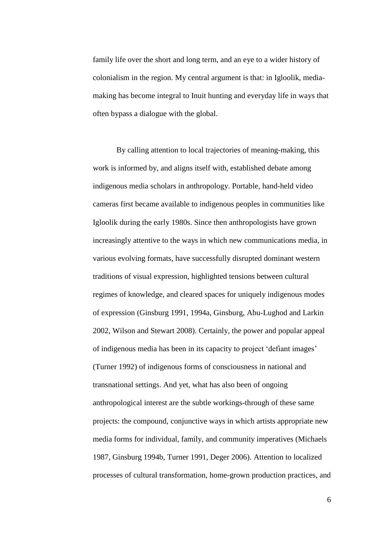family life over the short and long term, and an eye to a wider history of colonialism in the region. My central argument is that: in Igloolik, mediamaking has become integral to Inuit hunting and everyday life in ways that often bypass a dialogue with the global.

By calling attention to local trajectories of meaning-making, this work is informed by, and aligns itself with, established debate among indigenous media scholars in anthropology. Portable, hand-held video cameras first became available to indigenous peoples in communities like Igloolik during the early 1980s. Since then anthropologists have grown increasingly attentive to the ways in which new communications media, in various evolving formats, have successfully disrupted dominant western traditions of visual expression, highlighted tensions between cultural regimes of knowledge, and cleared spaces for uniquely indigenous modes of expression (Ginsburg 1991, 1994a, Ginsburg, Abu-Lughod and Larkin 2002, Wilson and Stewart 2008). Certainly, the power and popular appeal of indigenous media has been in its capacity to project 'defiant images' (Turner 1992) of indigenous forms of consciousness in national and transnational settings. And yet, what has also been of ongoing anthropological interest are the subtle workings-through of these same projects: the compound, conjunctive ways in which artists appropriate new media forms for individual, family, and community imperatives (Michaels 1987, Ginsburg 1994b, Turner 1991, Deger 2006). Attention to localized processes of cultural transformation, home-grown production practices, and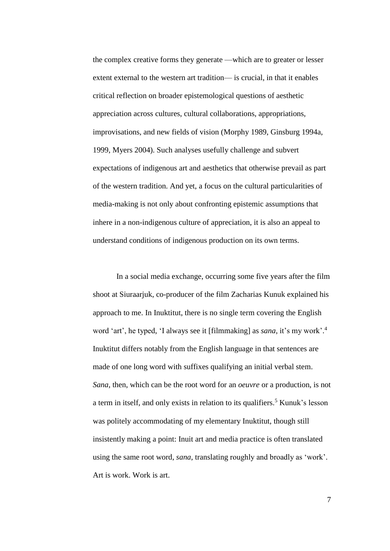the complex creative forms they generate —which are to greater or lesser extent external to the western art tradition— is crucial, in that it enables critical reflection on broader epistemological questions of aesthetic appreciation across cultures, cultural collaborations, appropriations, improvisations, and new fields of vision (Morphy 1989, Ginsburg 1994a, 1999, Myers 2004). Such analyses usefully challenge and subvert expectations of indigenous art and aesthetics that otherwise prevail as part of the western tradition. And yet, a focus on the cultural particularities of media-making is not only about confronting epistemic assumptions that inhere in a non-indigenous culture of appreciation, it is also an appeal to understand conditions of indigenous production on its own terms.

In a social media exchange, occurring some five years after the film shoot at Siuraarjuk, co-producer of the film Zacharias Kunuk explained his approach to me. In Inuktitut, there is no single term covering the English word 'art', he typed, 'I always see it [filmmaking] as *sana*, it's my work'. 4 Inuktitut differs notably from the English language in that sentences are made of one long word with suffixes qualifying an initial verbal stem. *Sana*, then, which can be the root word for an *oeuvre* or a production, is not a term in itself, and only exists in relation to its qualifiers.<sup>5</sup> Kunuk's lesson was politely accommodating of my elementary Inuktitut, though still insistently making a point: Inuit art and media practice is often translated using the same root word, *sana*, translating roughly and broadly as 'work'. Art is work. Work is art.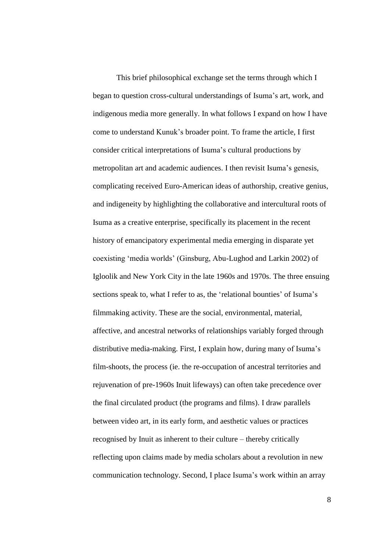This brief philosophical exchange set the terms through which I began to question cross-cultural understandings of Isuma's art, work, and indigenous media more generally. In what follows I expand on how I have come to understand Kunuk's broader point. To frame the article, I first consider critical interpretations of Isuma's cultural productions by metropolitan art and academic audiences. I then revisit Isuma's genesis, complicating received Euro-American ideas of authorship, creative genius, and indigeneity by highlighting the collaborative and intercultural roots of Isuma as a creative enterprise, specifically its placement in the recent history of emancipatory experimental media emerging in disparate yet coexisting 'media worlds' (Ginsburg, Abu-Lughod and Larkin 2002) of Igloolik and New York City in the late 1960s and 1970s. The three ensuing sections speak to, what I refer to as, the 'relational bounties' of Isuma's filmmaking activity. These are the social, environmental, material, affective, and ancestral networks of relationships variably forged through distributive media-making. First, I explain how, during many of Isuma's film-shoots, the process (ie. the re-occupation of ancestral territories and rejuvenation of pre-1960s Inuit lifeways) can often take precedence over the final circulated product (the programs and films). I draw parallels between video art, in its early form, and aesthetic values or practices recognised by Inuit as inherent to their culture – thereby critically reflecting upon claims made by media scholars about a revolution in new communication technology. Second, I place Isuma's work within an array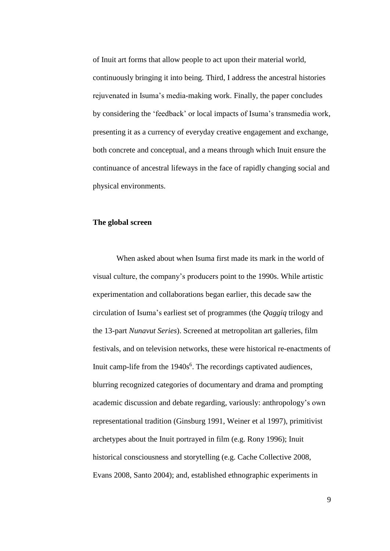of Inuit art forms that allow people to act upon their material world, continuously bringing it into being. Third, I address the ancestral histories rejuvenated in Isuma's media-making work. Finally, the paper concludes by considering the 'feedback' or local impacts of Isuma's transmedia work, presenting it as a currency of everyday creative engagement and exchange, both concrete and conceptual, and a means through which Inuit ensure the continuance of ancestral lifeways in the face of rapidly changing social and physical environments.

#### **The global screen**

When asked about when Isuma first made its mark in the world of visual culture, the company's producers point to the 1990s. While artistic experimentation and collaborations began earlier, this decade saw the circulation of Isuma's earliest set of programmes (the *Qaggiq* trilogy and the 13-part *Nunavut Series*). Screened at metropolitan art galleries, film festivals, and on television networks, these were historical re-enactments of Inuit camp-life from the 1940s<sup>6</sup>. The recordings captivated audiences, blurring recognized categories of documentary and drama and prompting academic discussion and debate regarding, variously: anthropology's own representational tradition (Ginsburg 1991, Weiner et al 1997), primitivist archetypes about the Inuit portrayed in film (e.g. Rony 1996); Inuit historical consciousness and storytelling (e.g. Cache Collective 2008, Evans 2008, Santo 2004); and, established ethnographic experiments in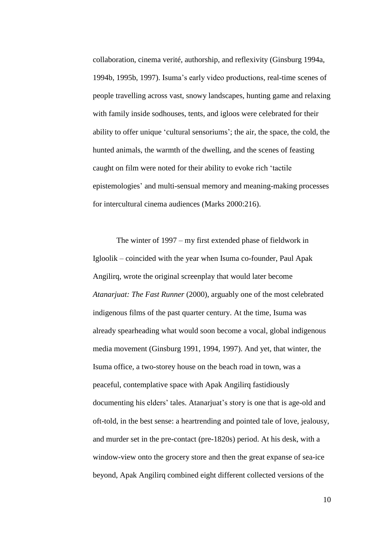collaboration, cinema verité, authorship, and reflexivity (Ginsburg 1994a, 1994b, 1995b, 1997). Isuma's early video productions, real-time scenes of people travelling across vast, snowy landscapes, hunting game and relaxing with family inside sodhouses, tents, and igloos were celebrated for their ability to offer unique 'cultural sensoriums'; the air, the space, the cold, the hunted animals, the warmth of the dwelling, and the scenes of feasting caught on film were noted for their ability to evoke rich 'tactile epistemologies' and multi-sensual memory and meaning-making processes for intercultural cinema audiences (Marks 2000:216).

The winter of 1997 – my first extended phase of fieldwork in Igloolik – coincided with the year when Isuma co-founder, Paul Apak Angilirq, wrote the original screenplay that would later become *Atanarjuat: The Fast Runner* (2000), arguably one of the most celebrated indigenous films of the past quarter century. At the time, Isuma was already spearheading what would soon become a vocal, global indigenous media movement (Ginsburg 1991, 1994, 1997). And yet, that winter, the Isuma office, a two-storey house on the beach road in town, was a peaceful, contemplative space with Apak Angilirq fastidiously documenting his elders' tales. Atanarjuat's story is one that is age-old and oft-told, in the best sense: a heartrending and pointed tale of love, jealousy, and murder set in the pre-contact (pre-1820s) period. At his desk, with a window-view onto the grocery store and then the great expanse of sea-ice beyond, Apak Angilirq combined eight different collected versions of the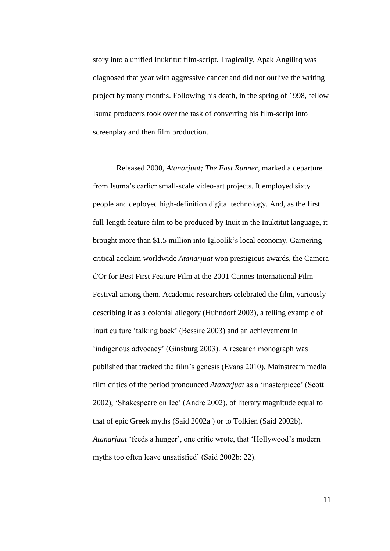story into a unified Inuktitut film-script. Tragically, Apak Angilirq was diagnosed that year with aggressive cancer and did not outlive the writing project by many months. Following his death, in the spring of 1998, fellow Isuma producers took over the task of converting his film-script into screenplay and then film production.

Released 2000, *Atanarjuat; The Fast Runner*, marked a departure from Isuma's earlier small-scale video-art projects. It employed sixty people and deployed high-definition digital technology. And, as the first full-length feature film to be produced by Inuit in the Inuktitut language, it brought more than \$1.5 million into Igloolik's local economy. Garnering critical acclaim worldwide *Atanarjuat* won prestigious awards, the Camera d'Or for Best First Feature Film at the 2001 Cannes International Film Festival among them. Academic researchers celebrated the film, variously describing it as a colonial allegory (Huhndorf 2003), a telling example of Inuit culture 'talking back' (Bessire 2003) and an achievement in 'indigenous advocacy' (Ginsburg 2003). A research monograph was published that tracked the film's genesis (Evans 2010). Mainstream media film critics of the period pronounced *Atanarjuat* as a 'masterpiece' (Scott 2002), 'Shakespeare on Ice' (Andre 2002), of literary magnitude equal to that of epic Greek myths (Said 2002a ) or to Tolkien (Said 2002b). *Atanarjuat* 'feeds a hunger', one critic wrote, that 'Hollywood's modern myths too often leave unsatisfied' (Said 2002b: 22).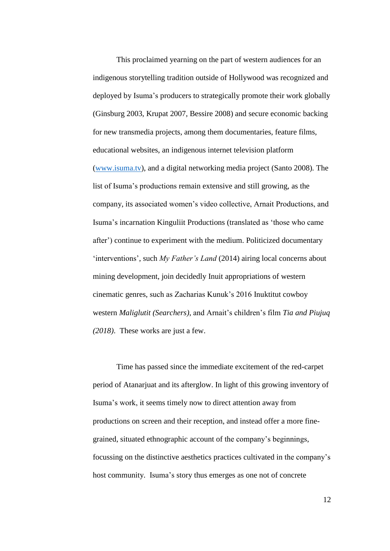This proclaimed yearning on the part of western audiences for an indigenous storytelling tradition outside of Hollywood was recognized and deployed by Isuma's producers to strategically promote their work globally (Ginsburg 2003, Krupat 2007, Bessire 2008) and secure economic backing for new transmedia projects, among them documentaries, feature films, educational websites, an indigenous internet television platform [\(www.isuma.tv\)](http://www.isuma.tv/), and a digital networking media project (Santo 2008)*.* The list of Isuma's productions remain extensive and still growing, as the company, its associated women's video collective, Arnait Productions, and Isuma's incarnation Kinguliit Productions (translated as 'those who came after') continue to experiment with the medium. Politicized documentary 'interventions', such *My Father's Land* (2014) airing local concerns about mining development, join decidedly Inuit appropriations of western cinematic genres, such as Zacharias Kunuk's 2016 Inuktitut cowboy western *Maliglutit (Searchers)*, and Arnait's children's film *Tia and Piujuq (2018)*. These works are just a few.

Time has passed since the immediate excitement of the red-carpet period of Atanarjuat and its afterglow. In light of this growing inventory of Isuma's work, it seems timely now to direct attention away from productions on screen and their reception, and instead offer a more finegrained, situated ethnographic account of the company's beginnings, focussing on the distinctive aesthetics practices cultivated in the company's host community. Isuma's story thus emerges as one not of concrete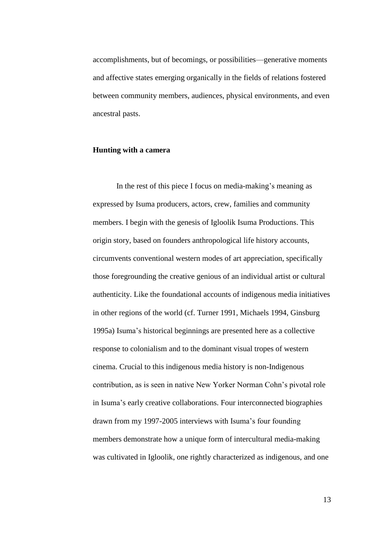accomplishments, but of becomings, or possibilities—generative moments and affective states emerging organically in the fields of relations fostered between community members, audiences, physical environments, and even ancestral pasts.

# **Hunting with a camera**

In the rest of this piece I focus on media-making's meaning as expressed by Isuma producers, actors, crew, families and community members. I begin with the genesis of Igloolik Isuma Productions. This origin story, based on founders anthropological life history accounts, circumvents conventional western modes of art appreciation, specifically those foregrounding the creative genious of an individual artist or cultural authenticity. Like the foundational accounts of indigenous media initiatives in other regions of the world (cf. Turner 1991, Michaels 1994, Ginsburg 1995a) Isuma's historical beginnings are presented here as a collective response to colonialism and to the dominant visual tropes of western cinema. Crucial to this indigenous media history is non-Indigenous contribution, as is seen in native New Yorker Norman Cohn's pivotal role in Isuma's early creative collaborations. Four interconnected biographies drawn from my 1997-2005 interviews with Isuma's four founding members demonstrate how a unique form of intercultural media-making was cultivated in Igloolik, one rightly characterized as indigenous, and one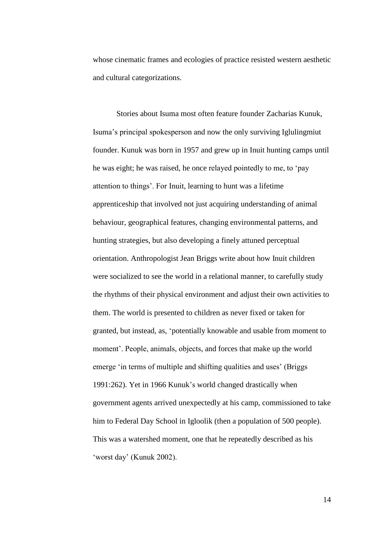whose cinematic frames and ecologies of practice resisted western aesthetic and cultural categorizations.

Stories about Isuma most often feature founder Zacharias Kunuk, Isuma's principal spokesperson and now the only surviving Iglulingmiut founder. Kunuk was born in 1957 and grew up in Inuit hunting camps until he was eight; he was raised, he once relayed pointedly to me, to 'pay attention to things'. For Inuit, learning to hunt was a lifetime apprenticeship that involved not just acquiring understanding of animal behaviour, geographical features, changing environmental patterns, and hunting strategies, but also developing a finely attuned perceptual orientation. Anthropologist Jean Briggs write about how Inuit children were socialized to see the world in a relational manner, to carefully study the rhythms of their physical environment and adjust their own activities to them. The world is presented to children as never fixed or taken for granted, but instead, as, 'potentially knowable and usable from moment to moment'. People, animals, objects, and forces that make up the world emerge 'in terms of multiple and shifting qualities and uses' (Briggs 1991:262). Yet in 1966 Kunuk's world changed drastically when government agents arrived unexpectedly at his camp, commissioned to take him to Federal Day School in Igloolik (then a population of 500 people). This was a watershed moment, one that he repeatedly described as his 'worst day' (Kunuk 2002).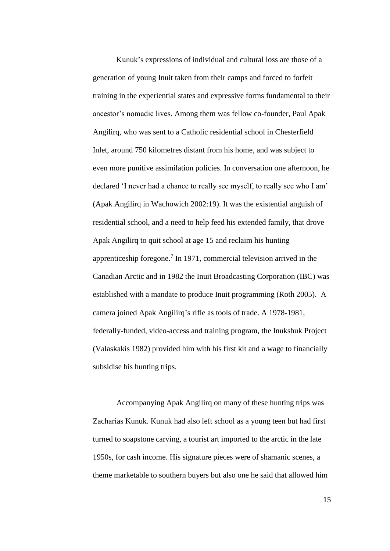Kunuk's expressions of individual and cultural loss are those of a generation of young Inuit taken from their camps and forced to forfeit training in the experiential states and expressive forms fundamental to their ancestor's nomadic lives. Among them was fellow co-founder, Paul Apak Angilirq, who was sent to a Catholic residential school in Chesterfield Inlet, around 750 kilometres distant from his home, and was subject to even more punitive assimilation policies. In conversation one afternoon, he declared 'I never had a chance to really see myself, to really see who I am' (Apak Angilirq in Wachowich 2002:19). It was the existential anguish of residential school, and a need to help feed his extended family, that drove Apak Angilirq to quit school at age 15 and reclaim his hunting apprenticeship foregone. 7 In 1971, commercial television arrived in the Canadian Arctic and in 1982 the Inuit Broadcasting Corporation (IBC) was established with a mandate to produce Inuit programming (Roth 2005). A camera joined Apak Angilirq's rifle as tools of trade. A 1978-1981, federally-funded, video-access and training program, the Inukshuk Project (Valaskakis 1982) provided him with his first kit and a wage to financially subsidise his hunting trips.

Accompanying Apak Angilirq on many of these hunting trips was Zacharias Kunuk. Kunuk had also left school as a young teen but had first turned to soapstone carving, a tourist art imported to the arctic in the late 1950s, for cash income. His signature pieces were of shamanic scenes, a theme marketable to southern buyers but also one he said that allowed him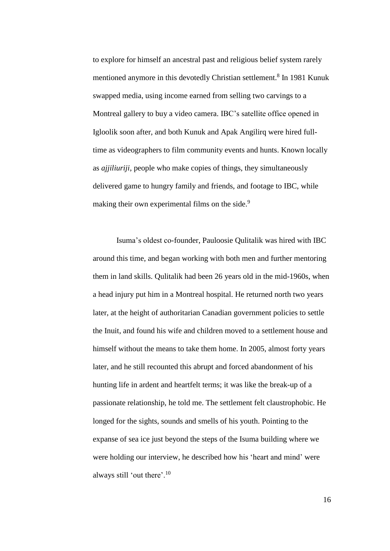to explore for himself an ancestral past and religious belief system rarely mentioned anymore in this devotedly Christian settlement. 8 In 1981 Kunuk swapped media, using income earned from selling two carvings to a Montreal gallery to buy a video camera. IBC's satellite office opened in Igloolik soon after, and both Kunuk and Apak Angilirq were hired fulltime as videographers to film community events and hunts. Known locally as *ajjiliuriji*, people who make copies of things, they simultaneously delivered game to hungry family and friends, and footage to IBC, while making their own experimental films on the side.<sup>9</sup>

Isuma's oldest co-founder, Pauloosie Qulitalik was hired with IBC around this time, and began working with both men and further mentoring them in land skills. Qulitalik had been 26 years old in the mid-1960s, when a head injury put him in a Montreal hospital. He returned north two years later, at the height of authoritarian Canadian government policies to settle the Inuit, and found his wife and children moved to a settlement house and himself without the means to take them home. In 2005, almost forty years later, and he still recounted this abrupt and forced abandonment of his hunting life in ardent and heartfelt terms; it was like the break-up of a passionate relationship, he told me. The settlement felt claustrophobic. He longed for the sights, sounds and smells of his youth. Pointing to the expanse of sea ice just beyond the steps of the Isuma building where we were holding our interview, he described how his 'heart and mind' were always still 'out there'.<sup>10</sup>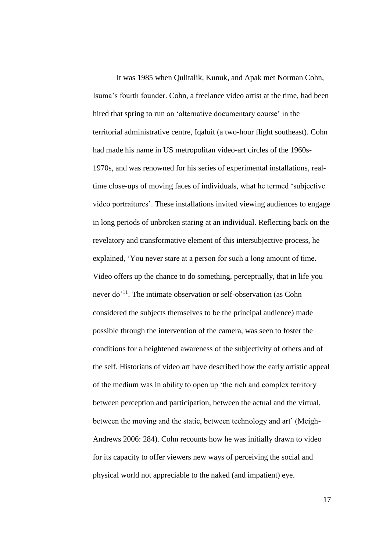It was 1985 when Qulitalik, Kunuk, and Apak met Norman Cohn, Isuma's fourth founder. Cohn, a freelance video artist at the time, had been hired that spring to run an 'alternative documentary course' in the territorial administrative centre, Iqaluit (a two-hour flight southeast). Cohn had made his name in US metropolitan video-art circles of the 1960s-1970s, and was renowned for his series of experimental installations, realtime close-ups of moving faces of individuals, what he termed 'subjective video portraitures'. These installations invited viewing audiences to engage in long periods of unbroken staring at an individual. Reflecting back on the revelatory and transformative element of this intersubjective process, he explained, 'You never stare at a person for such a long amount of time. Video offers up the chance to do something, perceptually, that in life you never do<sup>'11</sup>. The intimate observation or self-observation (as Cohn considered the subjects themselves to be the principal audience) made possible through the intervention of the camera, was seen to foster the conditions for a heightened awareness of the subjectivity of others and of the self. Historians of video art have described how the early artistic appeal of the medium was in ability to open up 'the rich and complex territory between perception and participation, between the actual and the virtual, between the moving and the static, between technology and art' (Meigh-Andrews 2006: 284). Cohn recounts how he was initially drawn to video for its capacity to offer viewers new ways of perceiving the social and physical world not appreciable to the naked (and impatient) eye.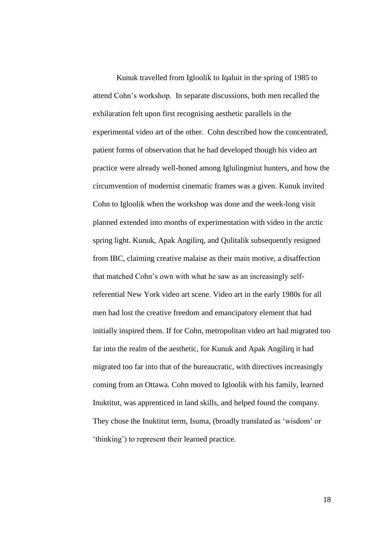Kunuk travelled from Igloolik to Iqaluit in the spring of 1985 to attend Cohn's workshop. In separate discussions, both men recalled the exhilaration felt upon first recognising aesthetic parallels in the experimental video art of the other. Cohn described how the concentrated, patient forms of observation that he had developed though his video art practice were already well-honed among Iglulingmiut hunters, and how the circumvention of modernist cinematic frames was a given. Kunuk invited Cohn to Igloolik when the workshop was done and the week-long visit planned extended into months of experimentation with video in the arctic spring light. Kunuk, Apak Angilirq, and Qulitalik subsequently resigned from IBC, claiming creative malaise as their main motive, a disaffection that matched Cohn's own with what he saw as an increasingly selfreferential New York video art scene. Video art in the early 1980s for all men had lost the creative freedom and emancipatory element that had initially inspired them. If for Cohn, metropolitan video art had migrated too far into the realm of the aesthetic, for Kunuk and Apak Angilirq it had migrated too far into that of the bureaucratic, with directives increasingly coming from an Ottawa. Cohn moved to Igloolik with his family, learned Inuktitut, was apprenticed in land skills, and helped found the company. They chose the Inuktitut term, Isuma, (broadly translated as 'wisdom' or 'thinking') to represent their learned practice.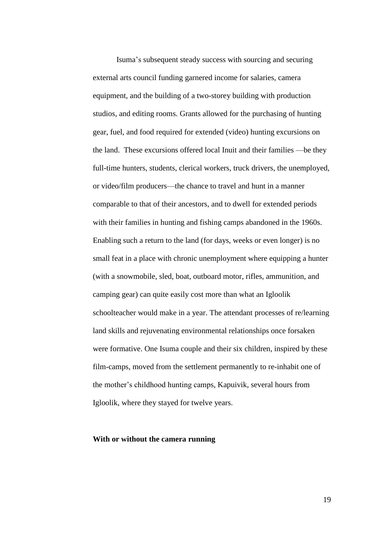Isuma's subsequent steady success with sourcing and securing external arts council funding garnered income for salaries, camera equipment, and the building of a two-storey building with production studios, and editing rooms. Grants allowed for the purchasing of hunting gear, fuel, and food required for extended (video) hunting excursions on the land. These excursions offered local Inuit and their families —be they full-time hunters, students, clerical workers, truck drivers, the unemployed, or video/film producers—the chance to travel and hunt in a manner comparable to that of their ancestors, and to dwell for extended periods with their families in hunting and fishing camps abandoned in the 1960s. Enabling such a return to the land (for days, weeks or even longer) is no small feat in a place with chronic unemployment where equipping a hunter (with a snowmobile, sled, boat, outboard motor, rifles, ammunition, and camping gear) can quite easily cost more than what an Igloolik schoolteacher would make in a year. The attendant processes of re/learning land skills and rejuvenating environmental relationships once forsaken were formative. One Isuma couple and their six children, inspired by these film-camps, moved from the settlement permanently to re-inhabit one of the mother's childhood hunting camps, Kapuivik, several hours from Igloolik, where they stayed for twelve years.

#### **With or without the camera running**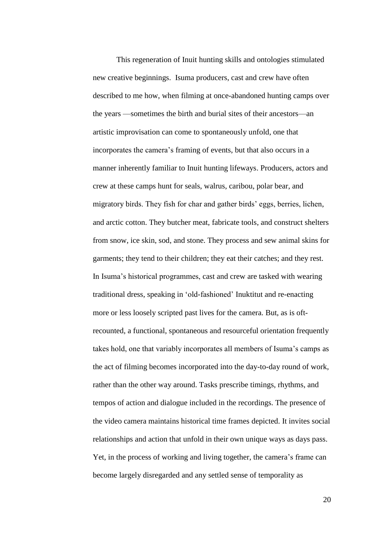This regeneration of Inuit hunting skills and ontologies stimulated new creative beginnings. Isuma producers, cast and crew have often described to me how, when filming at once-abandoned hunting camps over the years —sometimes the birth and burial sites of their ancestors—an artistic improvisation can come to spontaneously unfold, one that incorporates the camera's framing of events, but that also occurs in a manner inherently familiar to Inuit hunting lifeways. Producers, actors and crew at these camps hunt for seals, walrus, caribou, polar bear, and migratory birds. They fish for char and gather birds' eggs, berries, lichen, and arctic cotton. They butcher meat, fabricate tools, and construct shelters from snow, ice skin, sod, and stone. They process and sew animal skins for garments; they tend to their children; they eat their catches; and they rest. In Isuma's historical programmes, cast and crew are tasked with wearing traditional dress, speaking in 'old-fashioned' Inuktitut and re-enacting more or less loosely scripted past lives for the camera. But, as is oftrecounted, a functional, spontaneous and resourceful orientation frequently takes hold, one that variably incorporates all members of Isuma's camps as the act of filming becomes incorporated into the day-to-day round of work, rather than the other way around. Tasks prescribe timings, rhythms, and tempos of action and dialogue included in the recordings. The presence of the video camera maintains historical time frames depicted. It invites social relationships and action that unfold in their own unique ways as days pass. Yet, in the process of working and living together, the camera's frame can become largely disregarded and any settled sense of temporality as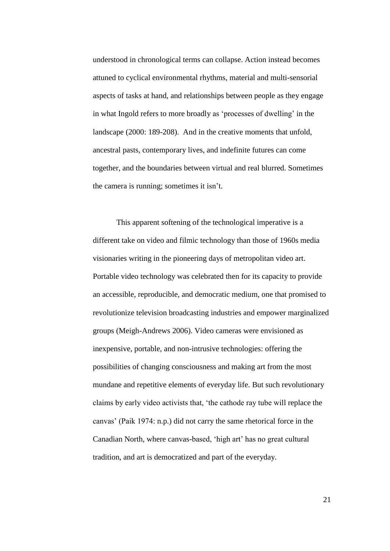understood in chronological terms can collapse. Action instead becomes attuned to cyclical environmental rhythms, material and multi-sensorial aspects of tasks at hand, and relationships between people as they engage in what Ingold refers to more broadly as 'processes of dwelling' in the landscape (2000: 189-208). And in the creative moments that unfold, ancestral pasts, contemporary lives, and indefinite futures can come together, and the boundaries between virtual and real blurred. Sometimes the camera is running; sometimes it isn't.

This apparent softening of the technological imperative is a different take on video and filmic technology than those of 1960s media visionaries writing in the pioneering days of metropolitan video art. Portable video technology was celebrated then for its capacity to provide an accessible, reproducible, and democratic medium, one that promised to revolutionize television broadcasting industries and empower marginalized groups (Meigh-Andrews 2006). Video cameras were envisioned as inexpensive, portable, and non-intrusive technologies: offering the possibilities of changing consciousness and making art from the most mundane and repetitive elements of everyday life. But such revolutionary claims by early video activists that, 'the cathode ray tube will replace the canvas' (Paik 1974: n.p.) did not carry the same rhetorical force in the Canadian North, where canvas-based, 'high art' has no great cultural tradition, and art is democratized and part of the everyday.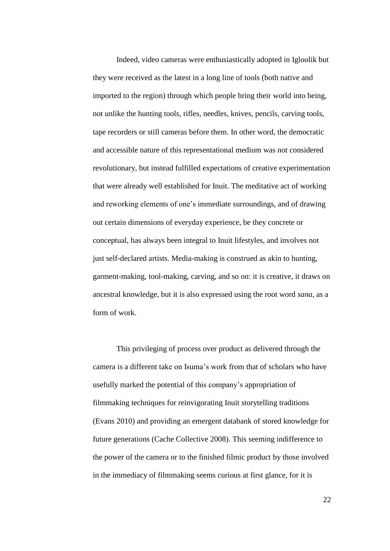Indeed, video cameras were enthusiastically adopted in Igloolik but they were received as the latest in a long line of tools (both native and imported to the region) through which people bring their world into being, not unlike the hunting tools, rifles, needles, knives, pencils, carving tools, tape recorders or still cameras before them. In other word, the democratic and accessible nature of this representational medium was not considered revolutionary, but instead fulfilled expectations of creative experimentation that were already well established for Inuit. The meditative act of working and reworking elements of one's immediate surroundings, and of drawing out certain dimensions of everyday experience, be they concrete or conceptual, has always been integral to Inuit lifestyles, and involves not just self-declared artists. Media-making is construed as akin to hunting, garment-making, tool-making, carving, and so on: it is creative, it draws on ancestral knowledge, but it is also expressed using the root word *sana*, as a form of work.

This privileging of process over product as delivered through the camera is a different take on Isuma's work from that of scholars who have usefully marked the potential of this company's appropriation of filmmaking techniques for reinvigorating Inuit storytelling traditions (Evans 2010) and providing an emergent databank of stored knowledge for future generations (Cache Collective 2008). This seeming indifference to the power of the camera or to the finished filmic product by those involved in the immediacy of filmmaking seems curious at first glance, for it is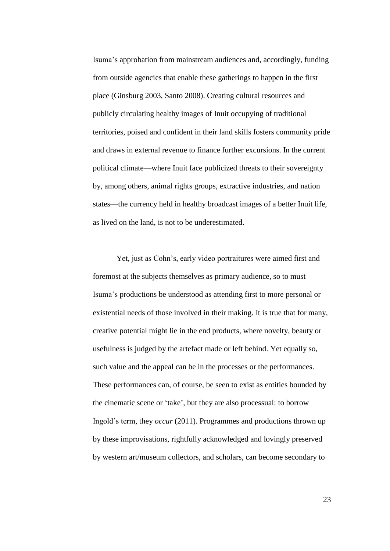Isuma's approbation from mainstream audiences and, accordingly, funding from outside agencies that enable these gatherings to happen in the first place (Ginsburg 2003, Santo 2008). Creating cultural resources and publicly circulating healthy images of Inuit occupying of traditional territories, poised and confident in their land skills fosters community pride and draws in external revenue to finance further excursions. In the current political climate—where Inuit face publicized threats to their sovereignty by, among others, animal rights groups, extractive industries, and nation states—the currency held in healthy broadcast images of a better Inuit life, as lived on the land, is not to be underestimated.

Yet, just as Cohn's, early video portraitures were aimed first and foremost at the subjects themselves as primary audience, so to must Isuma's productions be understood as attending first to more personal or existential needs of those involved in their making. It is true that for many, creative potential might lie in the end products, where novelty, beauty or usefulness is judged by the artefact made or left behind. Yet equally so, such value and the appeal can be in the processes or the performances. These performances can, of course, be seen to exist as entities bounded by the cinematic scene or 'take', but they are also processual: to borrow Ingold's term, they *occur* (2011). Programmes and productions thrown up by these improvisations, rightfully acknowledged and lovingly preserved by western art/museum collectors, and scholars, can become secondary to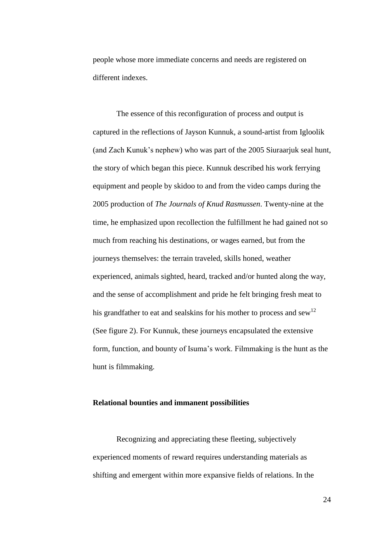people whose more immediate concerns and needs are registered on different indexes.

The essence of this reconfiguration of process and output is captured in the reflections of Jayson Kunnuk, a sound-artist from Igloolik (and Zach Kunuk's nephew) who was part of the 2005 Siuraarjuk seal hunt, the story of which began this piece. Kunnuk described his work ferrying equipment and people by skidoo to and from the video camps during the 2005 production of *The Journals of Knud Rasmussen*. Twenty-nine at the time, he emphasized upon recollection the fulfillment he had gained not so much from reaching his destinations, or wages earned, but from the journeys themselves: the terrain traveled, skills honed, weather experienced, animals sighted, heard, tracked and/or hunted along the way, and the sense of accomplishment and pride he felt bringing fresh meat to his grandfather to eat and sealskins for his mother to process and sew<sup>12</sup> (See figure 2). For Kunnuk, these journeys encapsulated the extensive form, function, and bounty of Isuma's work. Filmmaking is the hunt as the hunt is filmmaking.

# **Relational bounties and immanent possibilities**

Recognizing and appreciating these fleeting, subjectively experienced moments of reward requires understanding materials as shifting and emergent within more expansive fields of relations. In the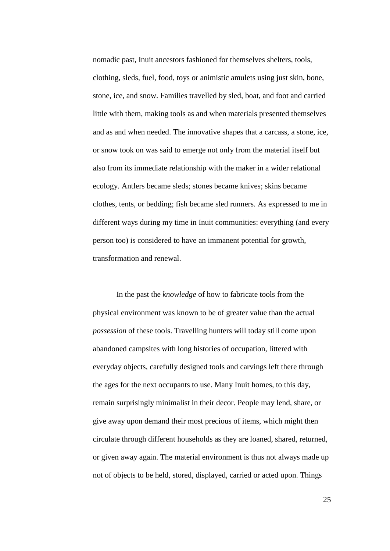nomadic past, Inuit ancestors fashioned for themselves shelters, tools, clothing, sleds, fuel, food, toys or animistic amulets using just skin, bone, stone, ice, and snow. Families travelled by sled, boat, and foot and carried little with them, making tools as and when materials presented themselves and as and when needed. The innovative shapes that a carcass, a stone, ice, or snow took on was said to emerge not only from the material itself but also from its immediate relationship with the maker in a wider relational ecology. Antlers became sleds; stones became knives; skins became clothes, tents, or bedding; fish became sled runners. As expressed to me in different ways during my time in Inuit communities: everything (and every person too) is considered to have an immanent potential for growth, transformation and renewal.

In the past the *knowledge* of how to fabricate tools from the physical environment was known to be of greater value than the actual *possession* of these tools. Travelling hunters will today still come upon abandoned campsites with long histories of occupation, littered with everyday objects, carefully designed tools and carvings left there through the ages for the next occupants to use. Many Inuit homes, to this day, remain surprisingly minimalist in their decor. People may lend, share, or give away upon demand their most precious of items, which might then circulate through different households as they are loaned, shared, returned, or given away again. The material environment is thus not always made up not of objects to be held, stored, displayed, carried or acted upon. Things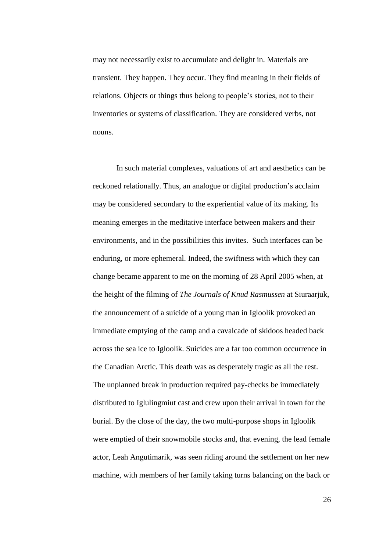may not necessarily exist to accumulate and delight in. Materials are transient. They happen. They occur. They find meaning in their fields of relations. Objects or things thus belong to people's stories, not to their inventories or systems of classification. They are considered verbs, not nouns.

In such material complexes, valuations of art and aesthetics can be reckoned relationally. Thus, an analogue or digital production's acclaim may be considered secondary to the experiential value of its making. Its meaning emerges in the meditative interface between makers and their environments, and in the possibilities this invites. Such interfaces can be enduring, or more ephemeral. Indeed, the swiftness with which they can change became apparent to me on the morning of 28 April 2005 when, at the height of the filming of *The Journals of Knud Rasmussen* at Siuraarjuk, the announcement of a suicide of a young man in Igloolik provoked an immediate emptying of the camp and a cavalcade of skidoos headed back across the sea ice to Igloolik. Suicides are a far too common occurrence in the Canadian Arctic. This death was as desperately tragic as all the rest. The unplanned break in production required pay-checks be immediately distributed to Iglulingmiut cast and crew upon their arrival in town for the burial. By the close of the day, the two multi-purpose shops in Igloolik were emptied of their snowmobile stocks and, that evening, the lead female actor, Leah Angutimarik, was seen riding around the settlement on her new machine, with members of her family taking turns balancing on the back or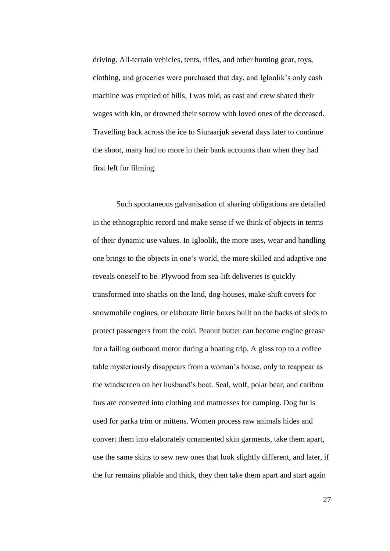driving. All-terrain vehicles, tents, rifles, and other hunting gear, toys, clothing, and groceries were purchased that day, and Igloolik's only cash machine was emptied of bills, I was told, as cast and crew shared their wages with kin, or drowned their sorrow with loved ones of the deceased. Travelling back across the ice to Siuraarjuk several days later to continue the shoot, many had no more in their bank accounts than when they had first left for filming.

Such spontaneous galvanisation of sharing obligations are detailed in the ethnographic record and make sense if we think of objects in terms of their dynamic use values. In Igloolik, the more uses, wear and handling one brings to the objects in one's world, the more skilled and adaptive one reveals oneself to be. Plywood from sea-lift deliveries is quickly transformed into shacks on the land, dog-houses, make-shift covers for snowmobile engines, or elaborate little boxes built on the backs of sleds to protect passengers from the cold. Peanut butter can become engine grease for a failing outboard motor during a boating trip. A glass top to a coffee table mysteriously disappears from a woman's house, only to reappear as the windscreen on her husband's boat. Seal, wolf, polar bear, and caribou furs are converted into clothing and mattresses for camping. Dog fur is used for parka trim or mittens. Women process raw animals hides and convert them into elaborately ornamented skin garments, take them apart, use the same skins to sew new ones that look slightly different, and later, if the fur remains pliable and thick, they then take them apart and start again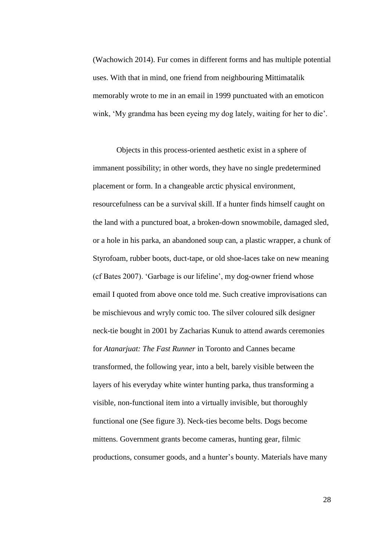(Wachowich 2014). Fur comes in different forms and has multiple potential uses. With that in mind, one friend from neighbouring Mittimatalik memorably wrote to me in an email in 1999 punctuated with an emoticon wink, 'My grandma has been eyeing my dog lately, waiting for her to die'.

Objects in this process-oriented aesthetic exist in a sphere of immanent possibility; in other words, they have no single predetermined placement or form. In a changeable arctic physical environment, resourcefulness can be a survival skill. If a hunter finds himself caught on the land with a punctured boat, a broken-down snowmobile, damaged sled, or a hole in his parka, an abandoned soup can, a plastic wrapper, a chunk of Styrofoam, rubber boots, duct-tape, or old shoe-laces take on new meaning (cf Bates 2007). 'Garbage is our lifeline', my dog-owner friend whose email I quoted from above once told me. Such creative improvisations can be mischievous and wryly comic too. The silver coloured silk designer neck-tie bought in 2001 by Zacharias Kunuk to attend awards ceremonies for *Atanarjuat: The Fast Runner* in Toronto and Cannes became transformed, the following year, into a belt, barely visible between the layers of his everyday white winter hunting parka, thus transforming a visible, non-functional item into a virtually invisible, but thoroughly functional one (See figure 3). Neck-ties become belts. Dogs become mittens. Government grants become cameras, hunting gear, filmic productions, consumer goods, and a hunter's bounty. Materials have many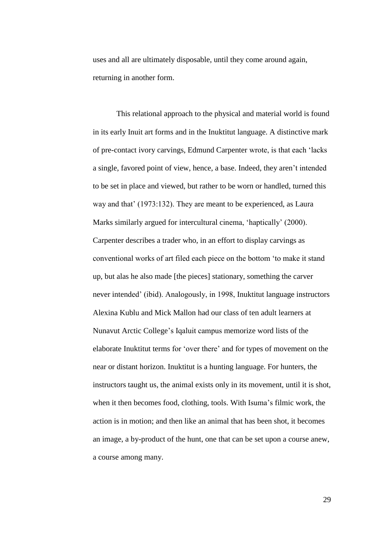uses and all are ultimately disposable, until they come around again, returning in another form.

This relational approach to the physical and material world is found in its early Inuit art forms and in the Inuktitut language. A distinctive mark of pre-contact ivory carvings, Edmund Carpenter wrote, is that each 'lacks a single, favored point of view, hence, a base. Indeed, they aren't intended to be set in place and viewed, but rather to be worn or handled, turned this way and that' (1973:132). They are meant to be experienced, as Laura Marks similarly argued for intercultural cinema, 'haptically' (2000). Carpenter describes a trader who, in an effort to display carvings as conventional works of art filed each piece on the bottom 'to make it stand up, but alas he also made [the pieces] stationary, something the carver never intended' (ibid). Analogously, in 1998, Inuktitut language instructors Alexina Kublu and Mick Mallon had our class of ten adult learners at Nunavut Arctic College's Iqaluit campus memorize word lists of the elaborate Inuktitut terms for 'over there' and for types of movement on the near or distant horizon. Inuktitut is a hunting language. For hunters, the instructors taught us, the animal exists only in its movement, until it is shot, when it then becomes food, clothing, tools. With Isuma's filmic work, the action is in motion; and then like an animal that has been shot, it becomes an image, a by-product of the hunt, one that can be set upon a course anew, a course among many.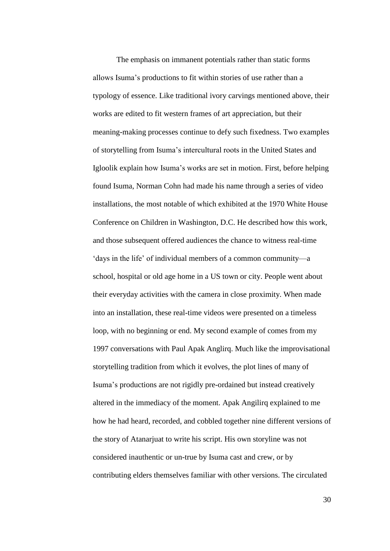The emphasis on immanent potentials rather than static forms allows Isuma's productions to fit within stories of use rather than a typology of essence. Like traditional ivory carvings mentioned above, their works are edited to fit western frames of art appreciation, but their meaning-making processes continue to defy such fixedness. Two examples of storytelling from Isuma's intercultural roots in the United States and Igloolik explain how Isuma's works are set in motion. First, before helping found Isuma, Norman Cohn had made his name through a series of video installations, the most notable of which exhibited at the 1970 White House Conference on Children in Washington, D.C. He described how this work, and those subsequent offered audiences the chance to witness real-time 'days in the life' of individual members of a common community—a school, hospital or old age home in a US town or city. People went about their everyday activities with the camera in close proximity. When made into an installation, these real-time videos were presented on a timeless loop, with no beginning or end. My second example of comes from my 1997 conversations with Paul Apak Anglirq. Much like the improvisational storytelling tradition from which it evolves, the plot lines of many of Isuma's productions are not rigidly pre-ordained but instead creatively altered in the immediacy of the moment. Apak Angilirq explained to me how he had heard, recorded, and cobbled together nine different versions of the story of Atanarjuat to write his script. His own storyline was not considered inauthentic or un-true by Isuma cast and crew, or by contributing elders themselves familiar with other versions. The circulated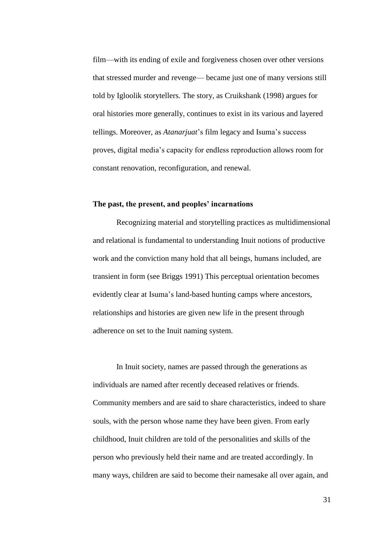film—with its ending of exile and forgiveness chosen over other versions that stressed murder and revenge— became just one of many versions still told by Igloolik storytellers. The story, as Cruikshank (1998) argues for oral histories more generally, continues to exist in its various and layered tellings. Moreover, as *Atanarjuat*'s film legacy and Isuma's success proves, digital media's capacity for endless reproduction allows room for constant renovation, reconfiguration, and renewal.

### **The past, the present, and peoples' incarnations**

Recognizing material and storytelling practices as multidimensional and relational is fundamental to understanding Inuit notions of productive work and the conviction many hold that all beings, humans included, are transient in form (see Briggs 1991) This perceptual orientation becomes evidently clear at Isuma's land-based hunting camps where ancestors, relationships and histories are given new life in the present through adherence on set to the Inuit naming system.

In Inuit society, names are passed through the generations as individuals are named after recently deceased relatives or friends. Community members and are said to share characteristics, indeed to share souls, with the person whose name they have been given. From early childhood, Inuit children are told of the personalities and skills of the person who previously held their name and are treated accordingly. In many ways, children are said to become their namesake all over again, and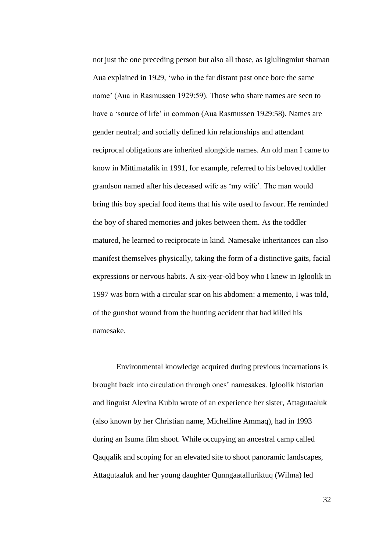not just the one preceding person but also all those, as Iglulingmiut shaman Aua explained in 1929, 'who in the far distant past once bore the same name' (Aua in Rasmussen 1929:59). Those who share names are seen to have a 'source of life' in common (Aua Rasmussen 1929:58). Names are gender neutral; and socially defined kin relationships and attendant reciprocal obligations are inherited alongside names. An old man I came to know in Mittimatalik in 1991, for example, referred to his beloved toddler grandson named after his deceased wife as 'my wife'. The man would bring this boy special food items that his wife used to favour. He reminded the boy of shared memories and jokes between them. As the toddler matured, he learned to reciprocate in kind. Namesake inheritances can also manifest themselves physically, taking the form of a distinctive gaits, facial expressions or nervous habits. A six-year-old boy who I knew in Igloolik in 1997 was born with a circular scar on his abdomen: a memento, I was told, of the gunshot wound from the hunting accident that had killed his namesake.

Environmental knowledge acquired during previous incarnations is brought back into circulation through ones' namesakes. Igloolik historian and linguist Alexina Kublu wrote of an experience her sister, Attagutaaluk (also known by her Christian name, Michelline Ammaq), had in 1993 during an Isuma film shoot. While occupying an ancestral camp called Qaqqalik and scoping for an elevated site to shoot panoramic landscapes, Attagutaaluk and her young daughter Qunngaatalluriktuq (Wilma) led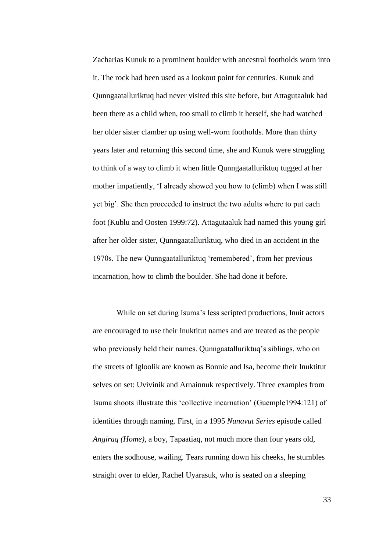Zacharias Kunuk to a prominent boulder with ancestral footholds worn into it. The rock had been used as a lookout point for centuries. Kunuk and Qunngaatalluriktuq had never visited this site before, but Attagutaaluk had been there as a child when, too small to climb it herself, she had watched her older sister clamber up using well-worn footholds. More than thirty years later and returning this second time, she and Kunuk were struggling to think of a way to climb it when little Qunngaatalluriktuq tugged at her mother impatiently, 'I already showed you how to (climb) when I was still yet big'. She then proceeded to instruct the two adults where to put each foot (Kublu and Oosten 1999:72). Attagutaaluk had named this young girl after her older sister, Qunngaatalluriktuq, who died in an accident in the 1970s. The new Qunngaatalluriktuq 'remembered', from her previous incarnation, how to climb the boulder. She had done it before.

While on set during Isuma's less scripted productions, Inuit actors are encouraged to use their Inuktitut names and are treated as the people who previously held their names. Qunngaatalluriktuq's siblings, who on the streets of Igloolik are known as Bonnie and Isa, become their Inuktitut selves on set: Uvivinik and Arnainnuk respectively. Three examples from Isuma shoots illustrate this 'collective incarnation' (Guemple1994:121) of identities through naming. First, in a 1995 *Nunavut Series* episode called *Angiraq (Home)*, a boy, Tapaatiaq, not much more than four years old, enters the sodhouse, wailing. Tears running down his cheeks, he stumbles straight over to elder, Rachel Uyarasuk, who is seated on a sleeping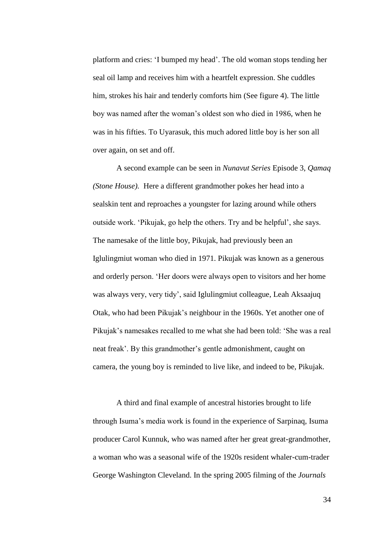platform and cries: 'I bumped my head'. The old woman stops tending her seal oil lamp and receives him with a heartfelt expression. She cuddles him, strokes his hair and tenderly comforts him (See figure 4). The little boy was named after the woman's oldest son who died in 1986, when he was in his fifties. To Uyarasuk, this much adored little boy is her son all over again, on set and off.

A second example can be seen in *Nunavut Series* Episode 3, *Qamaq (Stone House).* Here a different grandmother pokes her head into a sealskin tent and reproaches a youngster for lazing around while others outside work. 'Pikujak, go help the others. Try and be helpful', she says. The namesake of the little boy, Pikujak, had previously been an Iglulingmiut woman who died in 1971. Pikujak was known as a generous and orderly person. 'Her doors were always open to visitors and her home was always very, very tidy', said Iglulingmiut colleague, Leah Aksaajuq Otak, who had been Pikujak's neighbour in the 1960s. Yet another one of Pikujak's namesakes recalled to me what she had been told: 'She was a real neat freak'. By this grandmother's gentle admonishment, caught on camera, the young boy is reminded to live like, and indeed to be, Pikujak.

A third and final example of ancestral histories brought to life through Isuma's media work is found in the experience of Sarpinaq, Isuma producer Carol Kunnuk, who was named after her great great-grandmother, a woman who was a seasonal wife of the 1920s resident whaler-cum-trader George Washington Cleveland. In the spring 2005 filming of the *Journals*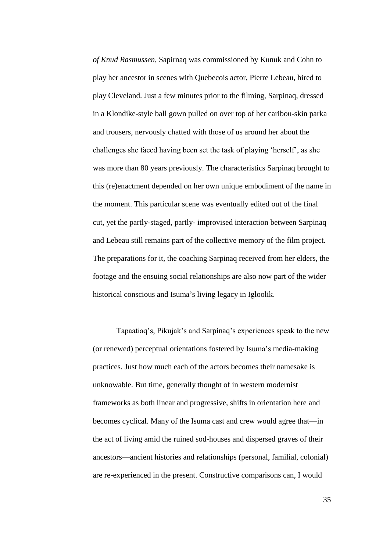*of Knud Rasmussen*, Sapirnaq was commissioned by Kunuk and Cohn to play her ancestor in scenes with Quebecois actor, Pierre Lebeau, hired to play Cleveland. Just a few minutes prior to the filming, Sarpinaq, dressed in a Klondike-style ball gown pulled on over top of her caribou-skin parka and trousers, nervously chatted with those of us around her about the challenges she faced having been set the task of playing 'herself', as she was more than 80 years previously. The characteristics Sarpinaq brought to this (re)enactment depended on her own unique embodiment of the name in the moment. This particular scene was eventually edited out of the final cut, yet the partly-staged, partly- improvised interaction between Sarpinaq and Lebeau still remains part of the collective memory of the film project. The preparations for it, the coaching Sarpinaq received from her elders, the footage and the ensuing social relationships are also now part of the wider historical conscious and Isuma's living legacy in Igloolik.

Tapaatiaq's, Pikujak's and Sarpinaq's experiences speak to the new (or renewed) perceptual orientations fostered by Isuma's media-making practices. Just how much each of the actors becomes their namesake is unknowable. But time, generally thought of in western modernist frameworks as both linear and progressive, shifts in orientation here and becomes cyclical. Many of the Isuma cast and crew would agree that—in the act of living amid the ruined sod-houses and dispersed graves of their ancestors—ancient histories and relationships (personal, familial, colonial) are re-experienced in the present. Constructive comparisons can, I would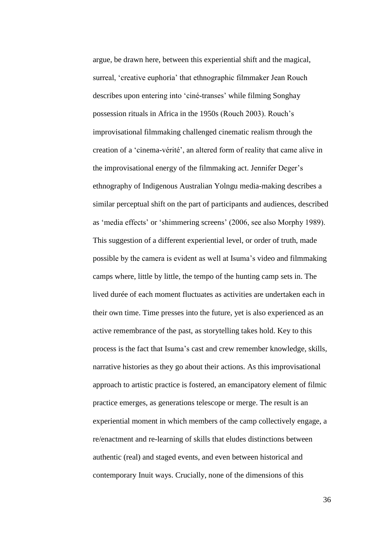argue, be drawn here, between this experiential shift and the magical, surreal, 'creative euphoria' that ethnographic filmmaker Jean Rouch describes upon entering into 'ciné-transes' while filming Songhay possession rituals in Africa in the 1950s (Rouch 2003). Rouch's improvisational filmmaking challenged cinematic realism through the creation of a 'cinema-vérité', an altered form of reality that came alive in the improvisational energy of the filmmaking act. Jennifer Deger's ethnography of Indigenous Australian Yolngu media-making describes a similar perceptual shift on the part of participants and audiences, described as 'media effects' or 'shimmering screens' (2006, see also Morphy 1989). This suggestion of a different experiential level, or order of truth, made possible by the camera is evident as well at Isuma's video and filmmaking camps where, little by little, the tempo of the hunting camp sets in. The lived durée of each moment fluctuates as activities are undertaken each in their own time. Time presses into the future, yet is also experienced as an active remembrance of the past, as storytelling takes hold. Key to this process is the fact that Isuma's cast and crew remember knowledge, skills, narrative histories as they go about their actions. As this improvisational approach to artistic practice is fostered, an emancipatory element of filmic practice emerges, as generations telescope or merge. The result is an experiential moment in which members of the camp collectively engage, a re/enactment and re-learning of skills that eludes distinctions between authentic (real) and staged events, and even between historical and contemporary Inuit ways. Crucially, none of the dimensions of this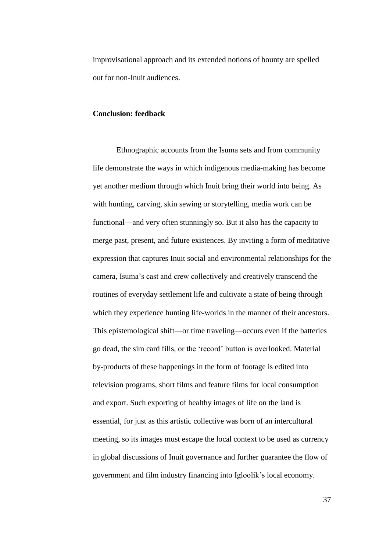improvisational approach and its extended notions of bounty are spelled out for non-Inuit audiences.

### **Conclusion: feedback**

Ethnographic accounts from the Isuma sets and from community life demonstrate the ways in which indigenous media-making has become yet another medium through which Inuit bring their world into being. As with hunting, carving, skin sewing or storytelling, media work can be functional—and very often stunningly so. But it also has the capacity to merge past, present, and future existences. By inviting a form of meditative expression that captures Inuit social and environmental relationships for the camera, Isuma's cast and crew collectively and creatively transcend the routines of everyday settlement life and cultivate a state of being through which they experience hunting life-worlds in the manner of their ancestors. This epistemological shift—or time traveling—occurs even if the batteries go dead, the sim card fills, or the 'record' button is overlooked. Material by-products of these happenings in the form of footage is edited into television programs, short films and feature films for local consumption and export. Such exporting of healthy images of life on the land is essential, for just as this artistic collective was born of an intercultural meeting, so its images must escape the local context to be used as currency in global discussions of Inuit governance and further guarantee the flow of government and film industry financing into Igloolik's local economy.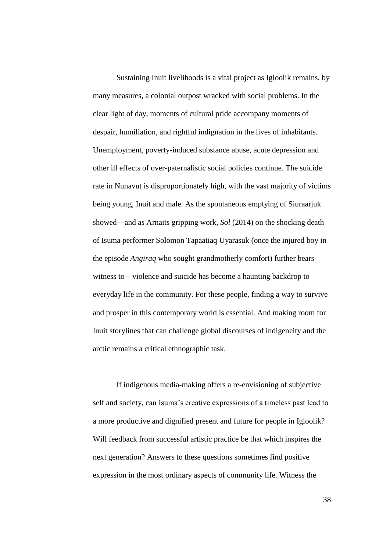Sustaining Inuit livelihoods is a vital project as Igloolik remains, by many measures, a colonial outpost wracked with social problems. In the clear light of day, moments of cultural pride accompany moments of despair, humiliation, and rightful indignation in the lives of inhabitants. Unemployment, poverty-induced substance abuse, acute depression and other ill effects of over-paternalistic social policies continue. The suicide rate in Nunavut is disproportionately high, with the vast majority of victims being young, Inuit and male. As the spontaneous emptying of Siuraarjuk showed—and as Arnaits gripping work, *Sol* (2014) on the shocking death of Isuma performer Solomon Tapaatiaq Uyarasuk (once the injured boy in the episode *Angiraq* who sought grandmotherly comfort) further bears witness to – violence and suicide has become a haunting backdrop to everyday life in the community. For these people, finding a way to survive and prosper in this contemporary world is essential. And making room for Inuit storylines that can challenge global discourses of indigeneity and the arctic remains a critical ethnographic task.

If indigenous media-making offers a re-envisioning of subjective self and society, can Isuma's creative expressions of a timeless past lead to a more productive and dignified present and future for people in Igloolik? Will feedback from successful artistic practice be that which inspires the next generation? Answers to these questions sometimes find positive expression in the most ordinary aspects of community life. Witness the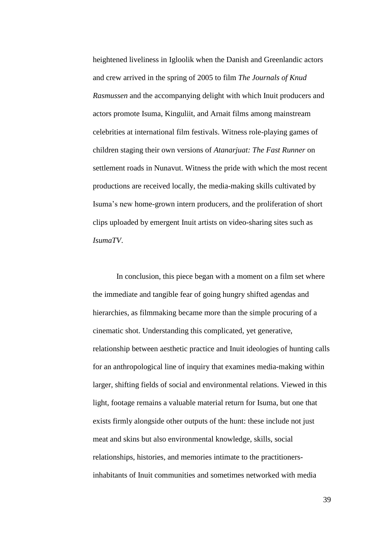heightened liveliness in Igloolik when the Danish and Greenlandic actors and crew arrived in the spring of 2005 to film *The Journals of Knud Rasmussen* and the accompanying delight with which Inuit producers and actors promote Isuma, Kinguliit, and Arnait films among mainstream celebrities at international film festivals. Witness role-playing games of children staging their own versions of *Atanarjuat: The Fast Runner* on settlement roads in Nunavut. Witness the pride with which the most recent productions are received locally, the media-making skills cultivated by Isuma's new home-grown intern producers, and the proliferation of short clips uploaded by emergent Inuit artists on video-sharing sites such as *IsumaTV*.

In conclusion, this piece began with a moment on a film set where the immediate and tangible fear of going hungry shifted agendas and hierarchies, as filmmaking became more than the simple procuring of a cinematic shot. Understanding this complicated, yet generative, relationship between aesthetic practice and Inuit ideologies of hunting calls for an anthropological line of inquiry that examines media-making within larger, shifting fields of social and environmental relations. Viewed in this light, footage remains a valuable material return for Isuma, but one that exists firmly alongside other outputs of the hunt: these include not just meat and skins but also environmental knowledge, skills, social relationships, histories, and memories intimate to the practitionersinhabitants of Inuit communities and sometimes networked with media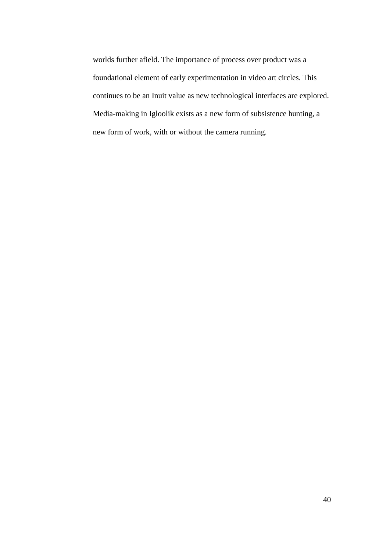worlds further afield. The importance of process over product was a foundational element of early experimentation in video art circles. This continues to be an Inuit value as new technological interfaces are explored. Media-making in Igloolik exists as a new form of subsistence hunting, a new form of work, with or without the camera running.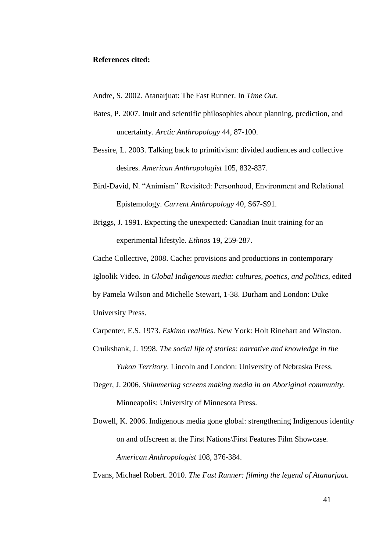### **References cited:**

Andre, S. 2002. Atanarjuat: The Fast Runner. In *Time Out*.

- Bates, P. 2007. Inuit and scientific philosophies about planning, prediction, and uncertainty. *Arctic Anthropology* 44, 87-100.
- Bessire, L. 2003. Talking back to primitivism: divided audiences and collective desires. *American Anthropologist* 105, 832-837.
- Bird-David, N. "Animism" Revisited: Personhood, Environment and Relational Epistemology. *Current Anthropology* 40, S67-S91.
- Briggs, J. 1991. Expecting the unexpected: Canadian Inuit training for an experimental lifestyle. *Ethnos* 19, 259-287.

Cache Collective, 2008. Cache: provisions and productions in contemporary

Igloolik Video. In *Global Indigenous media: cultures, poetics, and politics*, edited

by Pamela Wilson and Michelle Stewart, 1-38. Durham and London: Duke University Press.

Carpenter, E.S. 1973. *Eskimo realities*. New York: Holt Rinehart and Winston.

- Cruikshank, J. 1998. *The social life of stories: narrative and knowledge in the Yukon Territory*. Lincoln and London: University of Nebraska Press.
- Deger, J. 2006. *Shimmering screens making media in an Aboriginal community*. Minneapolis: University of Minnesota Press.
- Dowell, K. 2006. Indigenous media gone global: strengthening Indigenous identity on and offscreen at the First Nations\First Features Film Showcase. *American Anthropologist* 108, 376-384.

Evans, Michael Robert. 2010. *The Fast Runner: filming the legend of Atanarjuat.*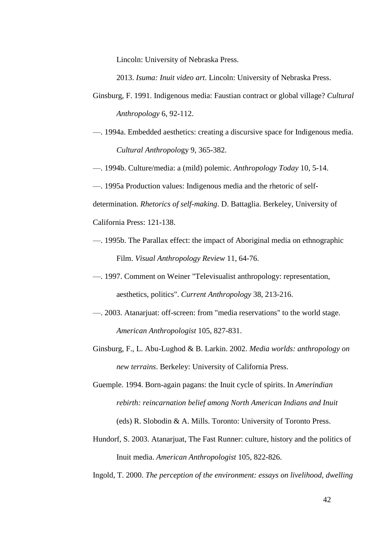Lincoln: University of Nebraska Press.

2013. *Isuma: Inuit video art*. Lincoln: University of Nebraska Press.

- Ginsburg, F. 1991. Indigenous media: Faustian contract or global village? *Cultural Anthropology* 6, 92-112.
- —. 1994a. Embedded aesthetics: creating a discursive space for Indigenous media. *Cultural Anthropolo*gy 9, 365-382.
- —. 1994b. Culture/media: a (mild) polemic. *Anthropology Today* 10, 5-14.
- —. 1995a Production values: Indigenous media and the rhetoric of self-

determination. *Rhetorics of self-making*. D. Battaglia. Berkeley, University of

California Press: 121-138.

- —. 1995b. The Parallax effect: the impact of Aboriginal media on ethnographic Film. *Visual Anthropology Review* 11, 64-76.
- —. 1997. Comment on Weiner "Televisualist anthropology: representation, aesthetics, politics". *Current Anthropology* 38, 213-216.
- —. 2003. Atanarjuat: off-screen: from "media reservations" to the world stage. *American Anthropologist* 105, 827-831.
- Ginsburg, F., L. Abu-Lughod & B. Larkin. 2002. *Media worlds: anthropology on new terrains*. Berkeley: University of California Press.
- Guemple. 1994. Born-again pagans: the Inuit cycle of spirits. In *Amerindian rebirth: reincarnation belief among North American Indians and Inuit* (eds) R. Slobodin & A. Mills. Toronto: University of Toronto Press.
- Hundorf, S. 2003. Atanarjuat, The Fast Runner: culture, history and the politics of Inuit media. *American Anthropologist* 105, 822-826.
- Ingold, T. 2000. *The perception of the environment: essays on livelihood, dwelling*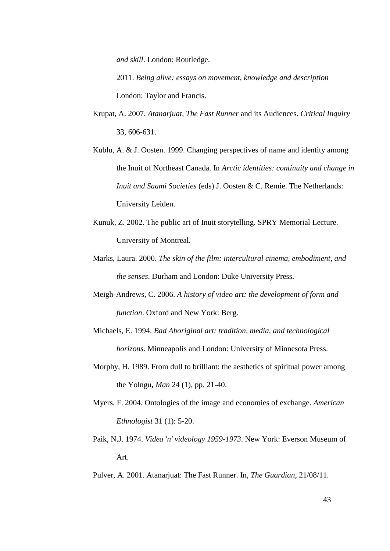*and skill*. London: Routledge.

2011. *Being alive: essays on movement, knowledge and description* London: Taylor and Francis.

- Krupat, A. 2007. *Atanarjuat, The Fast Runner* and its Audiences. *Critical Inquiry* 33, 606-631.
- Kublu, A. & J. Oosten. 1999. Changing perspectives of name and identity among the Inuit of Northeast Canada. In *Arctic identities: continuity and change in Inuit and Saami Societies* (eds) J. Oosten & C. Remie. The Netherlands: University Leiden.
- Kunuk, Z. 2002. The public art of Inuit storytelling. SPRY Memorial Lecture. University of Montreal.
- Marks, Laura. 2000. *The skin of the film: intercultural cinema, embodiment, and the senses*. Durham and London: Duke University Press.
- Meigh-Andrews, C. 2006. *A history of video art: the development of form and function*. Oxford and New York: Berg.
- Michaels, E. 1994. *Bad Aboriginal art: tradition, media, and technological horizons*. Minneapolis and London: University of Minnesota Press.
- Morphy, H. 1989. From dull to brilliant: the aesthetics of spiritual power among the Yolngu**,** *Man* 24 (1), pp. 21-40.
- Myers, F. 2004. Ontologies of the image and economies of exchange. *American Ethnologist* 31 (1): 5-20.
- Paik, N.J. 1974. *Videa 'n' videology 1959-1973*. New York: Everson Museum of Art.
- Pulver, A. 2001. Atanarjuat: The Fast Runner. In, *The Guardian*, 21/08/11.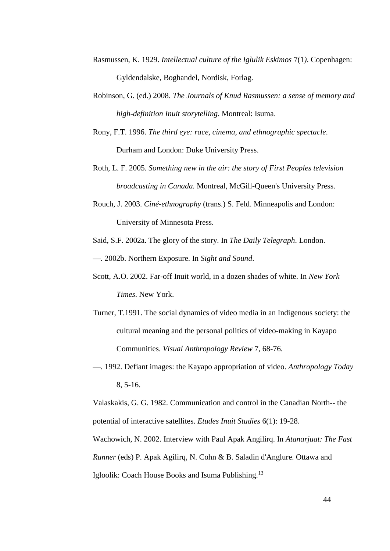- Rasmussen, K. 1929. *Intellectual culture of the Iglulik Eskimos* 7(1*)*. Copenhagen: Gyldendalske, Boghandel, Nordisk, Forlag.
- Robinson, G. (ed.) 2008. *The Journals of Knud Rasmussen: a sense of memory and high-definition Inuit storytelling*. Montreal: Isuma.
- Rony, F.T. 1996. *The third eye: race, cinema, and ethnographic spectacle*. Durham and London: Duke University Press.
- Roth, L. F. 2005. *Something new in the air: the story of First Peoples television broadcasting in Canada.* Montreal, McGill-Queen's University Press.
- Rouch, J. 2003. *Ciné-ethnography* (trans.) S. Feld. Minneapolis and London: University of Minnesota Press.

Said, S.F. 2002a. The glory of the story. In *The Daily Telegraph*. London.

—. 2002b. Northern Exposure. In *Sight and Sound*.

- Scott, A.O. 2002. Far-off Inuit world, in a dozen shades of white. In *New York Times*. New York.
- Turner, T.1991. The social dynamics of video media in an Indigenous society: the cultural meaning and the personal politics of video-making in Kayapo Communities. *Visual Anthropology Review* 7, 68-76.
- —. 1992. Defiant images: the Kayapo appropriation of video. *Anthropology Today* 8, 5-16.

Valaskakis, G. G. 1982. Communication and control in the Canadian North-- the potential of interactive satellites. *Etudes Inuit Studies* 6(1): 19-28.

Wachowich, N. 2002. Interview with Paul Apak Angilirq. In *Atanarjuat: The Fast* 

*Runner* (eds) P. Apak Agilirq, N. Cohn & B. Saladin d'Anglure. Ottawa and

Igloolik: Coach House Books and Isuma Publishing.<sup>13</sup>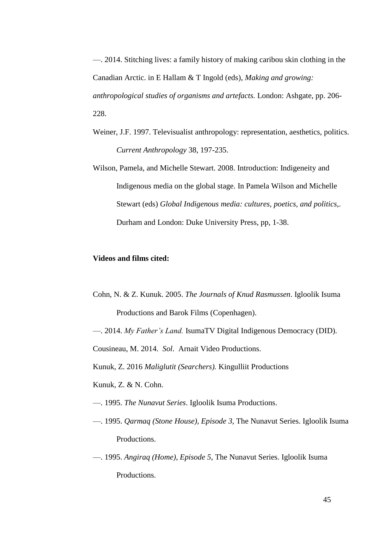—. 2014. Stitching lives: a family history of making caribou skin clothing in the Canadian Arctic. in E Hallam & T Ingold (eds), *Making and growing: anthropological studies of organisms and artefacts.* London: Ashgate, pp. 206- 228.

- Weiner, J.F. 1997. Televisualist anthropology: representation, aesthetics, politics. *Current Anthropology* 38, 197-235.
- Wilson, Pamela, and Michelle Stewart. 2008. Introduction: Indigeneity and Indigenous media on the global stage. In Pamela Wilson and Michelle Stewart (eds) *Global Indigenous media: cultures, poetics, and politics*,. Durham and London: Duke University Press, pp, 1-38.

### **Videos and films cited:**

- Cohn, N. & Z. Kunuk. 2005. *The Journals of Knud Rasmussen*. Igloolik Isuma Productions and Barok Films (Copenhagen).
- —. 2014. *My Father's Land.* IsumaTV Digital Indigenous Democracy (DID).

Cousineau, M. 2014. *Sol*. Arnait Video Productions.

Kunuk, Z. 2016 *Maliglutit (Searchers).* Kingulliit Productions

Kunuk, Z. & N. Cohn.

- —. 1995. *The Nunavut Series*. Igloolik Isuma Productions.
- —. 1995. *Qarmaq (Stone House), Episode 3*, The Nunavut Series. Igloolik Isuma Productions.
- —. 1995. *Angiraq (Home), Episode 5*, The Nunavut Series. Igloolik Isuma Productions.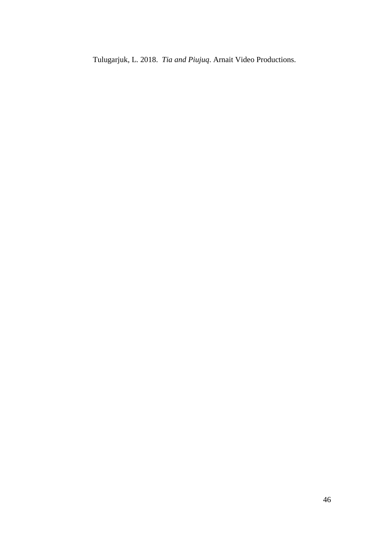Tulugarjuk, L. 2018. *Tia and Piujuq*. Arnait Video Productions.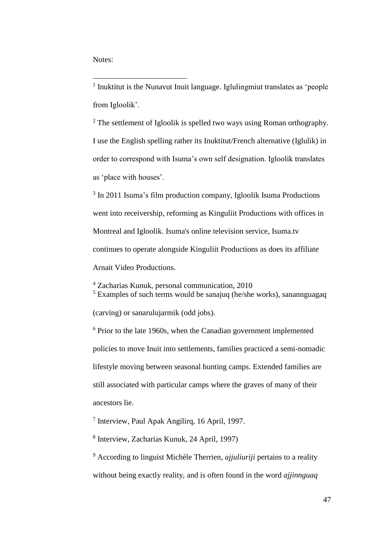Notes:

1

<sup>1</sup> Inuktitut is the Nunavut Inuit language. Iglulingmiut translates as 'people from Igloolik'.

<sup>2</sup> The settlement of Igloolik is spelled two ways using Roman orthography. I use the English spelling rather its Inuktitut/French alternative (Iglulik) in order to correspond with Isuma's own self designation. Igloolik translates as 'place with houses'.

<sup>3</sup> In 2011 Isuma's film production company, Igloolik Isuma Productions went into receivership, reforming as Kinguliit Productions with offices in Montreal and Igloolik. Isuma's online television service, Isuma.tv continues to operate alongside Kinguliit Productions as does its affiliate Arnait Video Productions.

<sup>4</sup> Zacharias Kunuk, personal communication, 2010 <sup>5</sup> Examples of such terms would be sanajuq (he/she works), sanannguagaq (carving) or sanarulujarmik (odd jobs).

 $6$  Prior to the late 1960s, when the Canadian government implemented policies to move Inuit into settlements, families practiced a semi-nomadic lifestyle moving between seasonal hunting camps. Extended families are still associated with particular camps where the graves of many of their ancestors lie.

7 Interview, Paul Apak Angilirq, 16 April, 1997.

8 Interview, Zacharias Kunuk, 24 April, 1997)

<sup>9</sup> According to linguist Michèle Therrien, *ajjuliuriji* pertains to a reality without being exactly reality, and is often found in the word *ajjinnguaq*